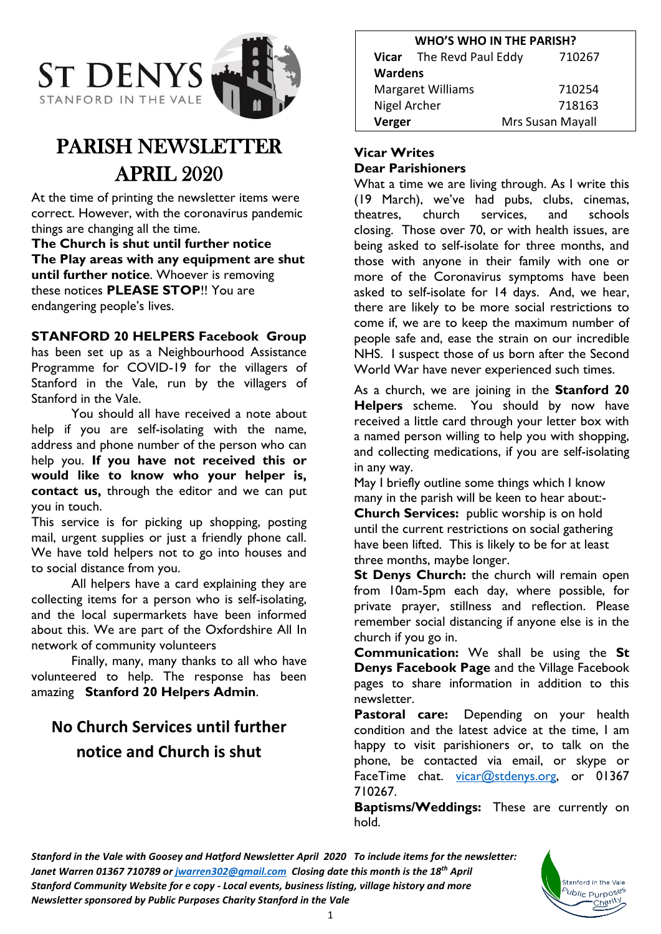

# PARISH NEWSLETTER APRIL 2020

At the time of printing the newsletter items were correct. However, with the coronavirus pandemic things are changing all the time.

**The Church is shut until further notice The Play areas with any equipment are shut until further notice**. Whoever is removing these notices **PLEASE STOP**!! You are endangering people's lives.

## **STANFORD 20 HELPERS Facebook Group**

has been set up as a Neighbourhood Assistance Programme for COVID-19 for the villagers of Stanford in the Vale, run by the villagers of Stanford in the Vale.

You should all have received a note about help if you are self-isolating with the name, address and phone number of the person who can help you. **If you have not received this or would like to know who your helper is, contact us,** through the editor and we can put you in touch.

This service is for picking up shopping, posting mail, urgent supplies or just a friendly phone call. We have told helpers not to go into houses and to social distance from you.

All helpers have a card explaining they are collecting items for a person who is self-isolating, and the local supermarkets have been informed about this. We are part of the Oxfordshire All In network of community volunteers

Finally, many, many thanks to all who have volunteered to help. The response has been amazing **Stanford 20 Helpers Admin**.

## **No Church Services until further notice and Church is shut**

| <b>WHO'S WHO IN THE PARISH?</b> |                          |                  |
|---------------------------------|--------------------------|------------------|
|                                 | Vicar The Revd Paul Eddy | 710267           |
| <b>Wardens</b>                  |                          |                  |
| <b>Margaret Williams</b>        |                          | 710254           |
| Nigel Archer                    |                          | 718163           |
| Verger                          |                          | Mrs Susan Mayall |

## **Vicar Writes**

#### **Dear Parishioners**

What a time we are living through. As I write this (19 March), we've had pubs, clubs, cinemas, theatres, church services, and schools closing. Those over 70, or with health issues, are being asked to self-isolate for three months, and those with anyone in their family with one or more of the Coronavirus symptoms have been asked to self-isolate for 14 days. And, we hear, there are likely to be more social restrictions to come if, we are to keep the maximum number of people safe and, ease the strain on our incredible NHS. I suspect those of us born after the Second World War have never experienced such times.

As a church, we are joining in the **Stanford 20 Helpers** scheme. You should by now have received a little card through your letter box with a named person willing to help you with shopping, and collecting medications, if you are self-isolating in any way.

May I briefly outline some things which I know many in the parish will be keen to hear about:-

**Church Services:** public worship is on hold until the current restrictions on social gathering have been lifted. This is likely to be for at least three months, maybe longer.

**St Denys Church:** the church will remain open from 10am-5pm each day, where possible, for private prayer, stillness and reflection. Please remember social distancing if anyone else is in the church if you go in.

**Communication:** We shall be using the **St Denys Facebook Page** and the Village Facebook pages to share information in addition to this newsletter.

**Pastoral care:** Depending on your health condition and the latest advice at the time, I am happy to visit parishioners or, to talk on the phone, be contacted via email, or skype or FaceTime chat. [vicar@stdenys.org,](mailto:vicar@stdenys.org) or 01367 710267.

**Baptisms/Weddings:** These are currently on hold.

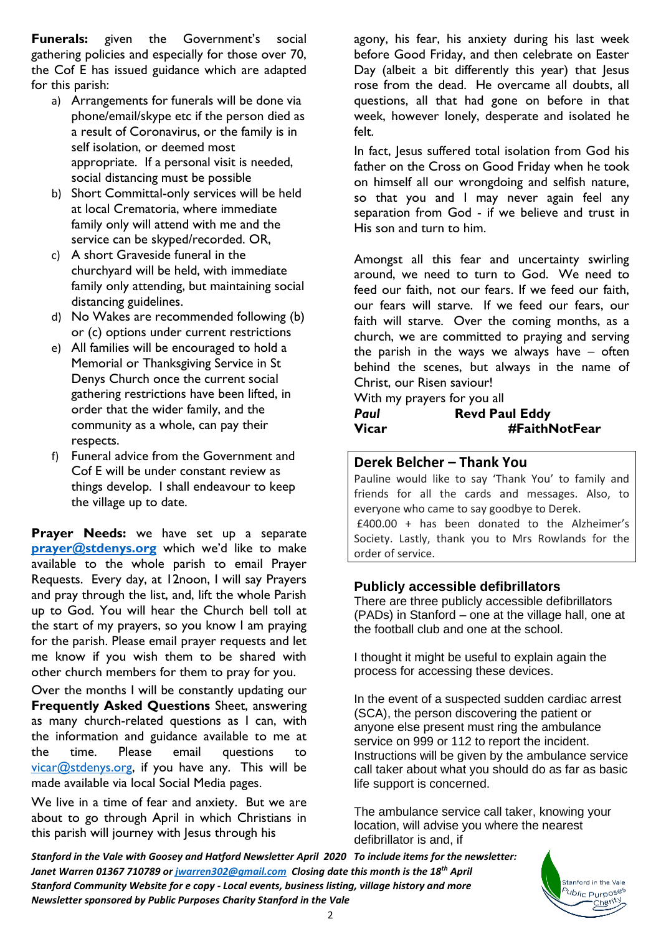**Funerals:** given the Government's social gathering policies and especially for those over 70, the Cof E has issued guidance which are adapted for this parish:

- a) Arrangements for funerals will be done via phone/email/skype etc if the person died as a result of Coronavirus, or the family is in self isolation, or deemed most appropriate. If a personal visit is needed, social distancing must be possible
- b) Short Committal-only services will be held at local Crematoria, where immediate family only will attend with me and the service can be skyped/recorded. OR,
- c) A short Graveside funeral in the churchyard will be held, with immediate family only attending, but maintaining social distancing guidelines.
- d) No Wakes are recommended following (b) or (c) options under current restrictions
- e) All families will be encouraged to hold a Memorial or Thanksgiving Service in St Denys Church once the current social gathering restrictions have been lifted, in order that the wider family, and the community as a whole, can pay their respects.
- f) Funeral advice from the Government and Cof E will be under constant review as things develop. I shall endeavour to keep the village up to date.

**Prayer Needs:** we have set up a separate **[prayer@stdenys.org](mailto:prayer@stdenys.org)** which we'd like to make available to the whole parish to email Prayer Requests. Every day, at 12noon, I will say Prayers and pray through the list, and, lift the whole Parish up to God. You will hear the Church bell toll at the start of my prayers, so you know I am praying for the parish. Please email prayer requests and let me know if you wish them to be shared with other church members for them to pray for you.

Over the months I will be constantly updating our **Frequently Asked Questions** Sheet, answering as many church-related questions as I can, with the information and guidance available to me at the time. Please email questions to  $vicar@stdenys.org$ , if you have any. This will be made available via local Social Media pages.

We live in a time of fear and anxiety. But we are about to go through April in which Christians in this parish will journey with Jesus through his

agony, his fear, his anxiety during his last week before Good Friday, and then celebrate on Easter Day (albeit a bit differently this year) that lesus rose from the dead. He overcame all doubts, all questions, all that had gone on before in that week, however lonely, desperate and isolated he felt.

In fact, Jesus suffered total isolation from God his father on the Cross on Good Friday when he took on himself all our wrongdoing and selfish nature, so that you and I may never again feel any separation from God - if we believe and trust in His son and turn to him.

Amongst all this fear and uncertainty swirling around, we need to turn to God. We need to feed our faith, not our fears. If we feed our faith, our fears will starve. If we feed our fears, our faith will starve. Over the coming months, as a church, we are committed to praying and serving the parish in the ways we always have – often behind the scenes, but always in the name of Christ, our Risen saviour!

With my prayers for you all

## *Paul* **Revd Paul Eddy Vicar #FaithNotFear**

## **Derek Belcher – Thank You**

Pauline would like to say 'Thank You' to family and friends for all the cards and messages. Also, to everyone who came to say goodbye to Derek.

£400.00 + has been donated to the Alzheimer's Society. Lastly, thank you to Mrs Rowlands for the order of service.

## **Publicly accessible defibrillators**

There are three publicly accessible defibrillators (PADs) in Stanford – one at the village hall, one at the football club and one at the school.

I thought it might be useful to explain again the process for accessing these devices.

In the event of a suspected sudden cardiac arrest (SCA), the person discovering the patient or anyone else present must ring the ambulance service on 999 or 112 to report the incident. Instructions will be given by the ambulance service call taker about what you should do as far as basic life support is concerned.

The ambulance service call taker, knowing your location, will advise you where the nearest defibrillator is and, if

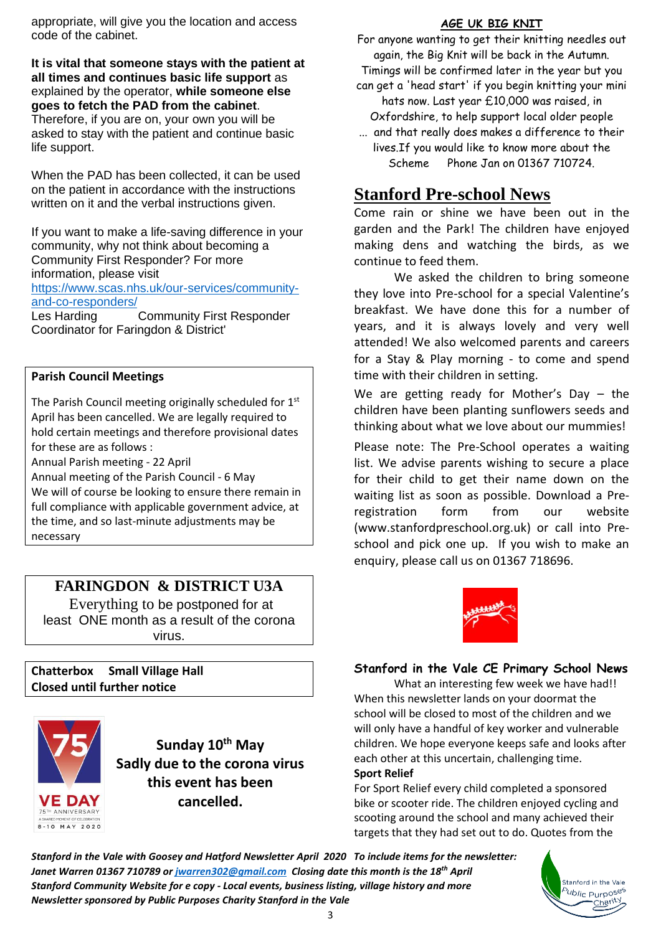appropriate, will give you the location and access code of the cabinet.

**It is vital that someone stays with the patient at all times and continues basic life support** as explained by the operator, **while someone else goes to fetch the PAD from the cabinet**. Therefore, if you are on, your own you will be

asked to stay with the patient and continue basic life support.

When the PAD has been collected, it can be used on the patient in accordance with the instructions written on it and the verbal instructions given.

If you want to make a life-saving difference in your community, why not think about becoming a Community First Responder? For more information, please visit [https://www.scas.nhs.uk/our-services/community](https://www.scas.nhs.uk/our-services/community-and-co-responders/)[and-co-responders/](https://www.scas.nhs.uk/our-services/community-and-co-responders/)

Les Harding Community First Responder Coordinator for Faringdon & District'

#### **Parish Council Meetings**

The Parish Council meeting originally scheduled for 1<sup>st</sup> April has been cancelled. We are legally required to hold certain meetings and therefore provisional dates for these are as follows :

Annual Parish meeting - 22 April

Annual meeting of the Parish Council - 6 May We will of course be looking to ensure there remain in full compliance with applicable government advice, at the time, and so last-minute adjustments may be necessary

## **FARINGDON & DISTRICT U3A**

Everything to be postponed for at least ONE month as a result of the corona virus.

**Chatterbox Small Village Hall Closed until further notice**



**Sunday 10th May Sadly due to the corona virus this event has been cancelled.**

#### **AGE UK BIG KNIT**

For anyone wanting to get their knitting needles out again, the Big Knit will be back in the Autumn. Timings will be confirmed later in the year but you can get a 'head start' if you begin knitting your mini hats now. Last year £10,000 was raised, in Oxfordshire, to help support local older people ... and that really does makes a difference to their lives.If you would like to know more about the Scheme Phone Jan on 01367 710724.

## **Stanford Pre-school News**

Come rain or shine we have been out in the garden and the Park! The children have enjoyed making dens and watching the birds, as we continue to feed them.

We asked the children to bring someone they love into Pre-school for a special Valentine's breakfast. We have done this for a number of years, and it is always lovely and very well attended! We also welcomed parents and careers for a Stay & Play morning - to come and spend time with their children in setting.

We are getting ready for Mother's Day - the children have been planting sunflowers seeds and thinking about what we love about our mummies!

Please note: The Pre-School operates a waiting list. We advise parents wishing to secure a place for their child to get their name down on the waiting list as soon as possible. Download a Preregistration form from our website [\(www.stanfordpreschool.org.uk\)](http://www.stanfordpreschool.org.uk/) or call into Preschool and pick one up. If you wish to make an enquiry, please call us on 01367 718696.



#### **Stanford in the Vale CE Primary School News**

What an interesting few week we have had!! When this newsletter lands on your doormat the school will be closed to most of the children and we will only have a handful of key worker and vulnerable children. We hope everyone keeps safe and looks after each other at this uncertain, challenging time. **Sport Relief** 

#### For Sport Relief every child completed a sponsored bike or scooter ride. The children enjoyed cycling and scooting around the school and many achieved their targets that they had set out to do. Quotes from the

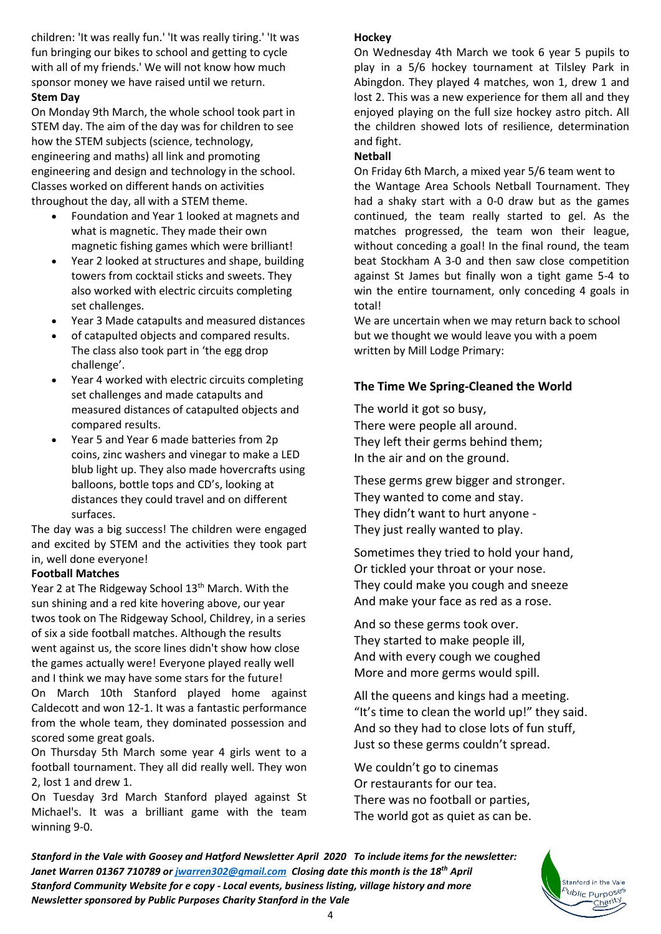children: 'It was really fun.' 'It was really tiring.' 'It was fun bringing our bikes to school and getting to cycle with all of my friends.' We will not know how much sponsor money we have raised until we return. **Stem Day** 

On Monday 9th March, the whole school took part in STEM day. The aim of the day was for children to see how the STEM subjects (science, technology, engineering and maths) all link and promoting engineering and design and technology in the school. Classes worked on different hands on activities throughout the day, all with a STEM theme.

- Foundation and Year 1 looked at magnets and what is magnetic. They made their own magnetic fishing games which were brilliant!
- Year 2 looked at structures and shape, building towers from cocktail sticks and sweets. They also worked with electric circuits completing set challenges.
- Year 3 Made catapults and measured distances
- of catapulted objects and compared results. The class also took part in 'the egg drop challenge'.
- Year 4 worked with electric circuits completing set challenges and made catapults and measured distances of catapulted objects and compared results.
- Year 5 and Year 6 made batteries from 2p coins, zinc washers and vinegar to make a LED blub light up. They also made hovercrafts using balloons, bottle tops and CD's, looking at distances they could travel and on different surfaces.

The day was a big success! The children were engaged and excited by STEM and the activities they took part in, well done everyone!

#### **Football Matches**

Year 2 at The Ridgeway School 13<sup>th</sup> March. With the sun shining and a red kite hovering above, our year twos took on The Ridgeway School, Childrey, in a series of six a side football matches. Although the results went against us, the score lines didn't show how close the games actually were! Everyone played really well and I think we may have some stars for the future! On March 10th Stanford played home against Caldecott and won 12-1. It was a fantastic performance from the whole team, they dominated possession and scored some great goals.

On Thursday 5th March some year 4 girls went to a football tournament. They all did really well. They won 2, lost 1 and drew 1.

On Tuesday 3rd March Stanford played against St Michael's. It was a brilliant game with the team winning 9-0.

#### **Hockey**

On Wednesday 4th March we took 6 year 5 pupils to play in a 5/6 hockey tournament at Tilsley Park in Abingdon. They played 4 matches, won 1, drew 1 and lost 2. This was a new experience for them all and they enjoyed playing on the full size hockey astro pitch. All the children showed lots of resilience, determination and fight.

## **Netball**

On Friday 6th March, a mixed year 5/6 team went to

the Wantage Area Schools Netball Tournament. They had a shaky start with a 0-0 draw but as the games continued, the team really started to gel. As the matches progressed, the team won their league, without conceding a goal! In the final round, the team beat Stockham A 3-0 and then saw close competition against St James but finally won a tight game 5-4 to win the entire tournament, only conceding 4 goals in total!

We are uncertain when we may return back to school but we thought we would leave you with a poem written by Mill Lodge Primary:

## **The Time We Spring-Cleaned the World**

The world it got so busy, There were people all around. They left their germs behind them; In the air and on the ground.

These germs grew bigger and stronger. They wanted to come and stay. They didn't want to hurt anyone - They just really wanted to play.

Sometimes they tried to hold your hand, Or tickled your throat or your nose. They could make you cough and sneeze And make your face as red as a rose.

And so these germs took over. They started to make people ill, And with every cough we coughed More and more germs would spill.

All the queens and kings had a meeting. "It's time to clean the world up!" they said. And so they had to close lots of fun stuff, Just so these germs couldn't spread.

We couldn't go to cinemas Or restaurants for our tea. There was no football or parties, The world got as quiet as can be.